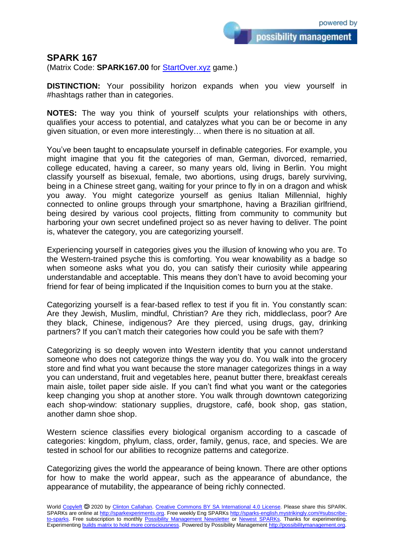possibility management

## **SPARK 167**

(Matrix Code: **SPARK167.00** for **StartOver.xyz** game.)

**DISTINCTION:** Your possibility horizon expands when you view yourself in #hashtags rather than in categories.

**NOTES:** The way you think of yourself sculpts your relationships with others, qualifies your access to potential, and catalyzes what you can be or become in any given situation, or even more interestingly… when there is no situation at all.

You've been taught to encapsulate yourself in definable categories. For example, you might imagine that you fit the categories of man, German, divorced, remarried, college educated, having a career, so many years old, living in Berlin. You might classify yourself as bisexual, female, two abortions, using drugs, barely surviving, being in a Chinese street gang, waiting for your prince to fly in on a dragon and whisk you away. You might categorize yourself as genius Italian Millennial, highly connected to online groups through your smartphone, having a Brazilian girlfriend, being desired by various cool projects, flitting from community to community but harboring your own secret undefined project so as never having to deliver. The point is, whatever the category, you are categorizing yourself.

Experiencing yourself in categories gives you the illusion of knowing who you are. To the Western-trained psyche this is comforting. You wear knowability as a badge so when someone asks what you do, you can satisfy their curiosity while appearing understandable and acceptable. This means they don't have to avoid becoming your friend for fear of being implicated if the Inquisition comes to burn you at the stake.

Categorizing yourself is a fear-based reflex to test if you fit in. You constantly scan: Are they Jewish, Muslim, mindful, Christian? Are they rich, middleclass, poor? Are they black, Chinese, indigenous? Are they pierced, using drugs, gay, drinking partners? If you can't match their categories how could you be safe with them?

Categorizing is so deeply woven into Western identity that you cannot understand someone who does not categorize things the way you do. You walk into the grocery store and find what you want because the store manager categorizes things in a way you can understand, fruit and vegetables here, peanut butter there, breakfast cereals main aisle, toilet paper side aisle. If you can't find what you want or the categories keep changing you shop at another store. You walk through downtown categorizing each shop-window: stationary supplies, drugstore, café, book shop, gas station, another damn shoe shop.

Western science classifies every biological organism according to a cascade of categories: kingdom, phylum, class, order, family, genus, race, and species. We are tested in school for our abilities to recognize patterns and categorize.

Categorizing gives the world the appearance of being known. There are other options for how to make the world appear, such as the appearance of abundance, the appearance of mutability, the appearance of being richly connected.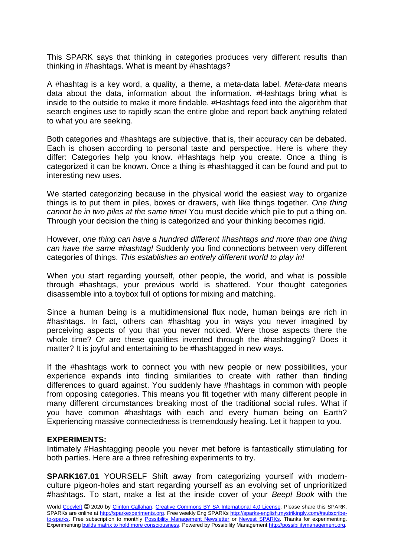This SPARK says that thinking in categories produces very different results than thinking in #hashtags. What is meant by #hashtags?

A #hashtag is a key word, a quality, a theme, a meta-data label. *Meta-data* means data about the data, information about the information. #Hashtags bring what is inside to the outside to make it more findable. #Hashtags feed into the algorithm that search engines use to rapidly scan the entire globe and report back anything related to what you are seeking.

Both categories and #hashtags are subjective, that is, their accuracy can be debated. Each is chosen according to personal taste and perspective. Here is where they differ: Categories help you know. #Hashtags help you create. Once a thing is categorized it can be known. Once a thing is #hashtagged it can be found and put to interesting new uses.

We started categorizing because in the physical world the easiest way to organize things is to put them in piles, boxes or drawers, with like things together. *One thing cannot be in two piles at the same time!* You must decide which pile to put a thing on. Through your decision the thing is categorized and your thinking becomes rigid.

However, *one thing can have a hundred different #hashtags and more than one thing can have the same #hashtag!* Suddenly you find connections between very different categories of things. *This establishes an entirely different world to play in!*

When you start regarding yourself, other people, the world, and what is possible through #hashtags, your previous world is shattered. Your thought categories disassemble into a toybox full of options for mixing and matching.

Since a human being is a multidimensional flux node, human beings are rich in #hashtags. In fact, others can #hashtag you in ways you never imagined by perceiving aspects of you that you never noticed. Were those aspects there the whole time? Or are these qualities invented through the #hashtagging? Does it matter? It is joyful and entertaining to be #hashtagged in new ways.

If the #hashtags work to connect you with new people or new possibilities, your experience expands into finding similarities to create with rather than finding differences to guard against. You suddenly have #hashtags in common with people from opposing categories. This means you fit together with many different people in many different circumstances breaking most of the traditional social rules. What if you have common #hashtags with each and every human being on Earth? Experiencing massive connectedness is tremendously healing. Let it happen to you.

## **EXPERIMENTS:**

Intimately #Hashtagging people you never met before is fantastically stimulating for both parties. Here are a three refreshing experiments to try.

**SPARK167.01** YOURSELF Shift away from categorizing yourself with modernculture pigeon-holes and start regarding yourself as an evolving set of unprioritized #hashtags. To start, make a list at the inside cover of your *Beep! Book* with the